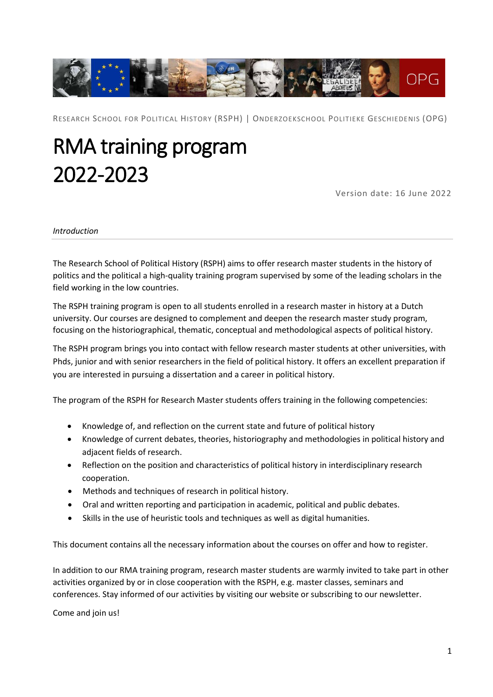

RESEARCH SCHOOL FOR POLITICAL HISTORY (RSPH) | ONDERZOEKSCHOOL POLITIEKE GESCHIEDENIS (OPG)

# RMA training program 2022-2023

Version date: 16 June 2022

#### *Introduction*

The Research School of Political History (RSPH) aims to offer research master students in the history of politics and the political a high-quality training program supervised by some of the leading scholars in the field working in the low countries.

The RSPH training program is open to all students enrolled in a research master in history at a Dutch university. Our courses are designed to complement and deepen the research master study program, focusing on the historiographical, thematic, conceptual and methodological aspects of political history.

The RSPH program brings you into contact with fellow research master students at other universities, with Phds, junior and with senior researchers in the field of political history. It offers an excellent preparation if you are interested in pursuing a dissertation and a career in political history.

The program of the RSPH for Research Master students offers training in the following competencies:

- Knowledge of, and reflection on the current state and future of political history
- Knowledge of current debates, theories, historiography and methodologies in political history and adjacent fields of research.
- Reflection on the position and characteristics of political history in interdisciplinary research cooperation.
- Methods and techniques of research in political history.
- Oral and written reporting and participation in academic, political and public debates.
- Skills in the use of heuristic tools and techniques as well as digital humanities.

This document contains all the necessary information about the courses on offer and how to register.

In addition to our RMA training program, research master students are warmly invited to take part in other activities organized by or in close cooperation with the RSPH, e.g. master classes, seminars and conferences. Stay informed of our activities by visiting our website or subscribing to our newsletter.

Come and join us!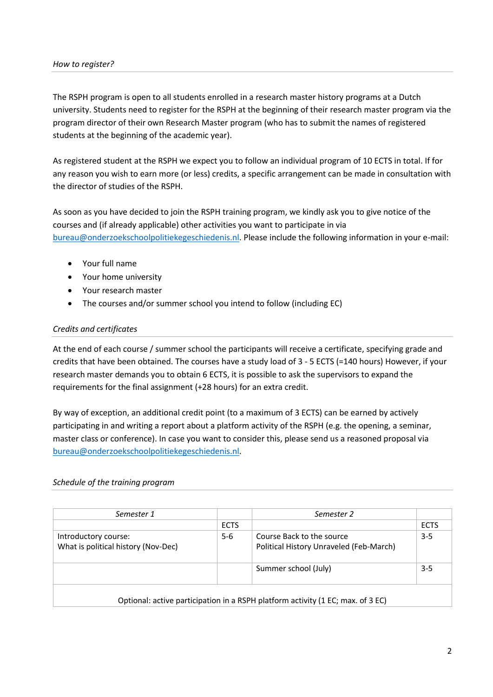#### *How to register?*

The RSPH program is open to all students enrolled in a research master history programs at a Dutch university. Students need to register for the RSPH at the beginning of their research master program via the program director of their own Research Master program (who has to submit the names of registered students at the beginning of the academic year).

As registered student at the RSPH we expect you to follow an individual program of 10 ECTS in total. If for any reason you wish to earn more (or less) credits, a specific arrangement can be made in consultation with the director of studies of the RSPH.

As soon as you have decided to join the RSPH training program, we kindly ask you to give notice of the courses and (if already applicable) other activities you want to participate in via [bureau@onderzoekschoolpolitiekegeschiedenis.nl.](mailto:bureau@onderzoekschoolpolitiekegeschiedenis.nl) Please include the following information in your e-mail:

- Your full name
- Your home university
- Your research master
- The courses and/or summer school you intend to follow (including EC)

## *Credits and certificates*

At the end of each course / summer school the participants will receive a certificate, specifying grade and credits that have been obtained. The courses have a study load of 3 - 5 ECTS (=140 hours) However, if your research master demands you to obtain 6 ECTS, it is possible to ask the supervisors to expand the requirements for the final assignment (+28 hours) for an extra credit.

By way of exception, an additional credit point (to a maximum of 3 ECTS) can be earned by actively participating in and writing a report about a platform activity of the RSPH (e.g. the opening, a seminar, master class or conference). In case you want to consider this, please send us a reasoned proposal via [bureau@onderzoekschoolpolitiekegeschiedenis.nl.](mailto:bureau@onderzoekschoolpolitiekegeschiedenis.nl)

#### *Schedule of the training program*

| Semester 1                                                                      |             | Semester 2                              |             |
|---------------------------------------------------------------------------------|-------------|-----------------------------------------|-------------|
|                                                                                 | <b>ECTS</b> |                                         | <b>ECTS</b> |
| Introductory course:                                                            | $5 - 6$     | Course Back to the source               | $3 - 5$     |
| What is political history (Nov-Dec)                                             |             | Political History Unraveled (Feb-March) |             |
|                                                                                 |             | Summer school (July)                    | $3 - 5$     |
| Optional: active participation in a RSPH platform activity (1 EC; max. of 3 EC) |             |                                         |             |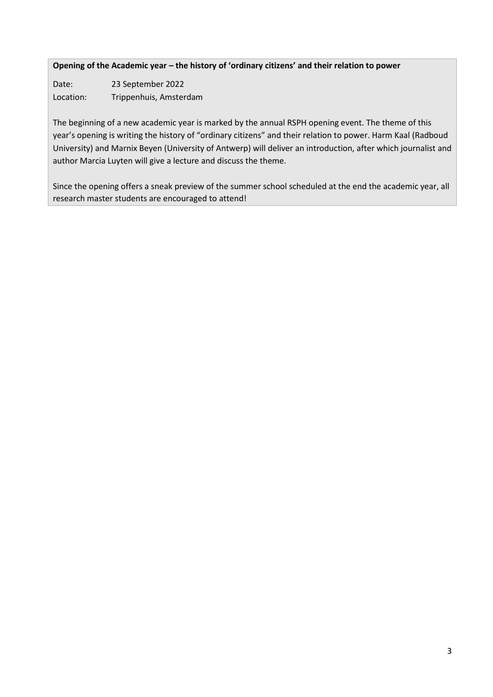**Opening of the Academic year – the history of 'ordinary citizens' and their relation to power**

Date: 23 September 2022 Location: Trippenhuis, Amsterdam

The beginning of a new academic year is marked by the annual RSPH opening event. The theme of this year's opening is writing the history of "ordinary citizens" and their relation to power. Harm Kaal (Radboud University) and Marnix Beyen (University of Antwerp) will deliver an introduction, after which journalist and author Marcia Luyten will give a lecture and discuss the theme.

Since the opening offers a sneak preview of the summer school scheduled at the end the academic year, all research master students are encouraged to attend!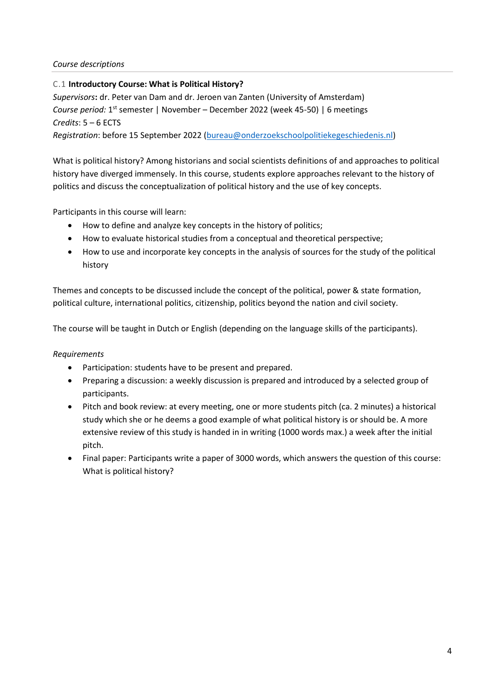## *Course descriptions*

## C.1 **Introductory Course: What is Political History?**

*Supervisors***:** dr. Peter van Dam and dr. Jeroen van Zanten (University of Amsterdam) Course period: 1<sup>st</sup> semester | November – December 2022 (week 45-50) | 6 meetings *Credits*: 5 – 6 ECTS

*Registration*: before 15 September 2022 [\(bureau@onderzoekschoolpolitiekegeschiedenis.nl\)](mailto:bureau@onderzoekschoolpolitiekegeschiedenis.nl)

What is political history? Among historians and social scientists definitions of and approaches to political history have diverged immensely. In this course, students explore approaches relevant to the history of politics and discuss the conceptualization of political history and the use of key concepts.

Participants in this course will learn:

- How to define and analyze key concepts in the history of politics;
- How to evaluate historical studies from a conceptual and theoretical perspective;
- How to use and incorporate key concepts in the analysis of sources for the study of the political history

Themes and concepts to be discussed include the concept of the political, power & state formation, political culture, international politics, citizenship, politics beyond the nation and civil society.

The course will be taught in Dutch or English (depending on the language skills of the participants).

## *Requirements*

- Participation: students have to be present and prepared.
- Preparing a discussion: a weekly discussion is prepared and introduced by a selected group of participants.
- Pitch and book review: at every meeting, one or more students pitch (ca. 2 minutes) a historical study which she or he deems a good example of what political history is or should be. A more extensive review of this study is handed in in writing (1000 words max.) a week after the initial pitch.
- Final paper: Participants write a paper of 3000 words, which answers the question of this course: What is political history?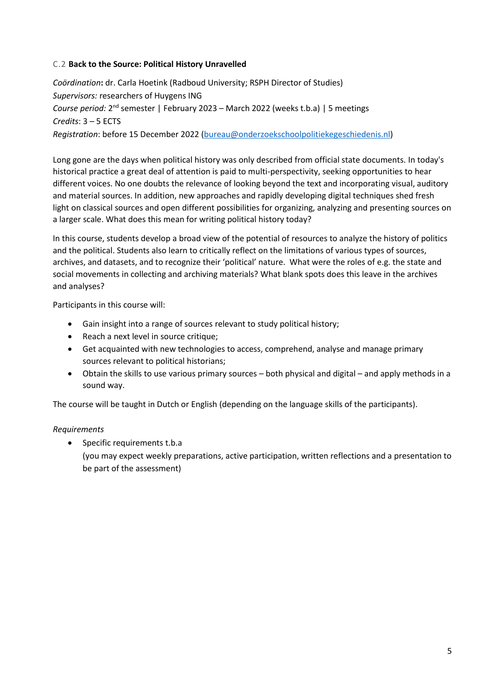## C.2 **Back to the Source: Political History Unravelled**

*Coördination***:** dr. Carla Hoetink (Radboud University; RSPH Director of Studies) *Supervisors:* researchers of Huygens ING Course period: 2<sup>nd</sup> semester | February 2023 – March 2022 (weeks t.b.a) | 5 meetings *Credits*: 3 – 5 ECTS *Registration*: before 15 December 2022 [\(bureau@onderzoekschoolpolitiekegeschiedenis.nl\)](mailto:bureau@onderzoekschoolpolitiekegeschiedenis.nl)

Long gone are the days when political history was only described from official state documents. In today's historical practice a great deal of attention is paid to multi-perspectivity, seeking opportunities to hear different voices. No one doubts the relevance of looking beyond the text and incorporating visual, auditory and material sources. In addition, new approaches and rapidly developing digital techniques shed fresh light on classical sources and open different possibilities for organizing, analyzing and presenting sources on a larger scale. What does this mean for writing political history today?

In this course, students develop a broad view of the potential of resources to analyze the history of politics and the political. Students also learn to critically reflect on the limitations of various types of sources, archives, and datasets, and to recognize their 'political' nature. What were the roles of e.g. the state and social movements in collecting and archiving materials? What blank spots does this leave in the archives and analyses?

Participants in this course will:

- Gain insight into a range of sources relevant to study political history;
- Reach a next level in source critique;
- Get acquainted with new technologies to access, comprehend, analyse and manage primary sources relevant to political historians;
- Obtain the skills to use various primary sources both physical and digital and apply methods in a sound way.

The course will be taught in Dutch or English (depending on the language skills of the participants).

## *Requirements*

• Specific requirements t.b.a (you may expect weekly preparations, active participation, written reflections and a presentation to be part of the assessment)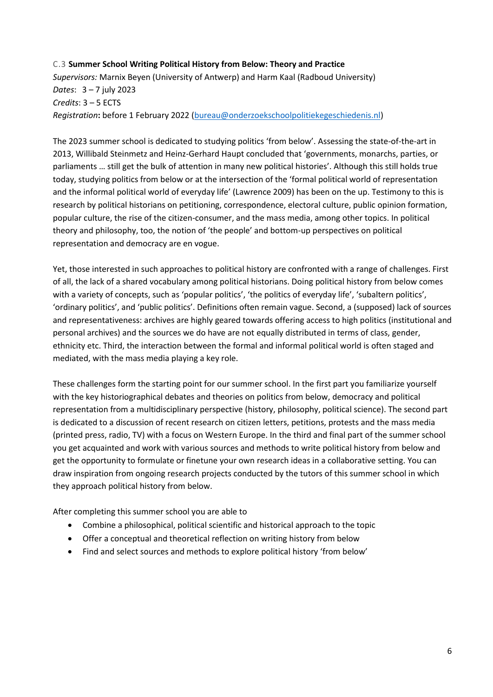## C.3 **Summer School Writing Political History from Below: Theory and Practice** *Supervisors:* Marnix Beyen (University of Antwerp) and Harm Kaal (Radboud University) *Dates*: 3 – 7 july 2023 *Credits*: 3 – 5 ECTS *Registration***:** before 1 February 2022 [\(bureau@onderzoekschoolpolitiekegeschiedenis.nl\)](mailto:bureau@onderzoekschoolpolitiekegeschiedenis.nl)

The 2023 summer school is dedicated to studying politics 'from below'. Assessing the state-of-the-art in 2013, Willibald Steinmetz and Heinz-Gerhard Haupt concluded that 'governments, monarchs, parties, or parliaments … still get the bulk of attention in many new political histories'. Although this still holds true today, studying politics from below or at the intersection of the 'formal political world of representation and the informal political world of everyday life' (Lawrence 2009) has been on the up. Testimony to this is research by political historians on petitioning, correspondence, electoral culture, public opinion formation, popular culture, the rise of the citizen-consumer, and the mass media, among other topics. In political theory and philosophy, too, the notion of 'the people' and bottom-up perspectives on political representation and democracy are en vogue.

Yet, those interested in such approaches to political history are confronted with a range of challenges. First of all, the lack of a shared vocabulary among political historians. Doing political history from below comes with a variety of concepts, such as 'popular politics', 'the politics of everyday life', 'subaltern politics', 'ordinary politics', and 'public politics'. Definitions often remain vague. Second, a (supposed) lack of sources and representativeness: archives are highly geared towards offering access to high politics (institutional and personal archives) and the sources we do have are not equally distributed in terms of class, gender, ethnicity etc. Third, the interaction between the formal and informal political world is often staged and mediated, with the mass media playing a key role.

These challenges form the starting point for our summer school. In the first part you familiarize yourself with the key historiographical debates and theories on politics from below, democracy and political representation from a multidisciplinary perspective (history, philosophy, political science). The second part is dedicated to a discussion of recent research on citizen letters, petitions, protests and the mass media (printed press, radio, TV) with a focus on Western Europe. In the third and final part of the summer school you get acquainted and work with various sources and methods to write political history from below and get the opportunity to formulate or finetune your own research ideas in a collaborative setting. You can draw inspiration from ongoing research projects conducted by the tutors of this summer school in which they approach political history from below.

After completing this summer school you are able to

- Combine a philosophical, political scientific and historical approach to the topic
- Offer a conceptual and theoretical reflection on writing history from below
- Find and select sources and methods to explore political history 'from below'